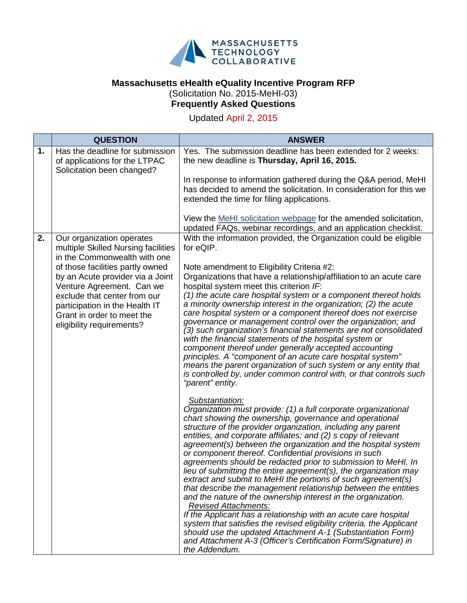

## **Massachusetts eHealth eQuality Incentive Program RFP** (Solicitation No. 2015-MeHI-03)

## **Frequently Asked Questions**

Updated April 2, 2015

|    | <b>QUESTION</b>                                                                                                                                                                                                                | <b>ANSWER</b>                                                                                                                                                                                                                                                                                                                                                                                                                                                                                                                                                                                                                                                                                                                                                                                                                                                                                                                                                                                                                                                                                                                                                                                                                                                                                                                                                                                                                                                                                                                                                                                                                                                                                                                                                                                                                                                                                                                            |
|----|--------------------------------------------------------------------------------------------------------------------------------------------------------------------------------------------------------------------------------|------------------------------------------------------------------------------------------------------------------------------------------------------------------------------------------------------------------------------------------------------------------------------------------------------------------------------------------------------------------------------------------------------------------------------------------------------------------------------------------------------------------------------------------------------------------------------------------------------------------------------------------------------------------------------------------------------------------------------------------------------------------------------------------------------------------------------------------------------------------------------------------------------------------------------------------------------------------------------------------------------------------------------------------------------------------------------------------------------------------------------------------------------------------------------------------------------------------------------------------------------------------------------------------------------------------------------------------------------------------------------------------------------------------------------------------------------------------------------------------------------------------------------------------------------------------------------------------------------------------------------------------------------------------------------------------------------------------------------------------------------------------------------------------------------------------------------------------------------------------------------------------------------------------------------------------|
| 1. | Has the deadline for submission<br>of applications for the LTPAC<br>Solicitation been changed?                                                                                                                                 | Yes. The submission deadline has been extended for 2 weeks:<br>the new deadline is Thursday, April 16, 2015.                                                                                                                                                                                                                                                                                                                                                                                                                                                                                                                                                                                                                                                                                                                                                                                                                                                                                                                                                                                                                                                                                                                                                                                                                                                                                                                                                                                                                                                                                                                                                                                                                                                                                                                                                                                                                             |
|    |                                                                                                                                                                                                                                | In response to information gathered during the Q&A period, MeHI<br>has decided to amend the solicitation. In consideration for this we<br>extended the time for filing applications.                                                                                                                                                                                                                                                                                                                                                                                                                                                                                                                                                                                                                                                                                                                                                                                                                                                                                                                                                                                                                                                                                                                                                                                                                                                                                                                                                                                                                                                                                                                                                                                                                                                                                                                                                     |
|    |                                                                                                                                                                                                                                | View the MeHI solicitation webpage for the amended solicitation,<br>updated FAQs, webinar recordings, and an application checklist.                                                                                                                                                                                                                                                                                                                                                                                                                                                                                                                                                                                                                                                                                                                                                                                                                                                                                                                                                                                                                                                                                                                                                                                                                                                                                                                                                                                                                                                                                                                                                                                                                                                                                                                                                                                                      |
| 2. | Our organization operates<br>multiple Skilled Nursing facilities<br>in the Commonwealth with one                                                                                                                               | With the information provided, the Organization could be eligible<br>for eQIP.                                                                                                                                                                                                                                                                                                                                                                                                                                                                                                                                                                                                                                                                                                                                                                                                                                                                                                                                                                                                                                                                                                                                                                                                                                                                                                                                                                                                                                                                                                                                                                                                                                                                                                                                                                                                                                                           |
|    | of those facilities partly owned<br>by an Acute provider via a Joint<br>Venture Agreement. Can we<br>exclude that center from our<br>participation in the Health IT<br>Grant in order to meet the<br>eligibility requirements? | Note amendment to Eligibility Criteria #2:<br>Organizations that have a relationship/affiliation to an acute care<br>hospital system meet this criterion IF:<br>(1) the acute care hospital system or a component thereof holds<br>a minority ownership interest in the organization; (2) the acute<br>care hospital system or a component thereof does not exercise<br>governance or management control over the organization; and<br>(3) such organization's financial statements are not consolidated<br>with the financial statements of the hospital system or<br>component thereof under generally accepted accounting<br>principles. A "component of an acute care hospital system"<br>means the parent organization of such system or any entity that<br>is controlled by, under common control with, or that controls such<br>"parent" entity.<br>Substantiation:<br>Organization must provide: (1) a full corporate organizational<br>chart showing the ownership, governance and operational<br>structure of the provider organization, including any parent<br>entities, and corporate affiliates; and (2) s copy of relevant<br>agreement(s) between the organization and the hospital system<br>or component thereof. Confidential provisions in such<br>agreements should be redacted prior to submission to MeHI. In<br>lieu of submitting the entire agreement(s), the organization may<br>extract and submit to MeHI the portions of such agreement(s)<br>that describe the management relationship between the entities<br>and the nature of the ownership interest in the organization.<br><b>Revised Attachments:</b><br>If the Applicant has a relationship with an acute care hospital<br>system that satisfies the revised eligibility criteria, the Applicant<br>should use the updated Attachment A-1 (Substantiation Form)<br>and Attachment A-3 (Officer's Certification Form/Signature) in<br>the Addendum. |